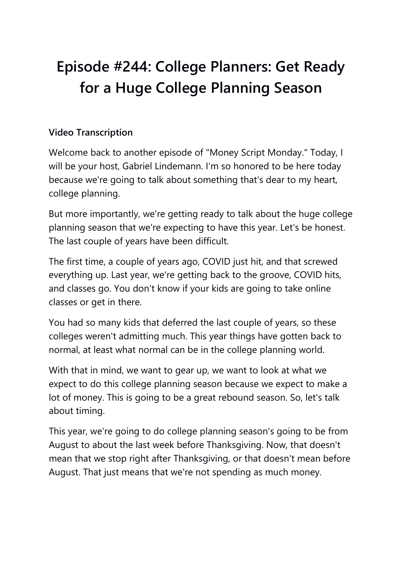## **Episode #244: College Planners: Get Ready for a Huge College Planning Season**

## **Video Transcription**

Welcome back to another episode of "Money Script Monday." Today, I will be your host, Gabriel Lindemann. I'm so honored to be here today because we're going to talk about something that's dear to my heart, college planning.

But more importantly, we're getting ready to talk about the huge college planning season that we're expecting to have this year. Let's be honest. The last couple of years have been difficult.

The first time, a couple of years ago, COVID just hit, and that screwed everything up. Last year, we're getting back to the groove, COVID hits, and classes go. You don't know if your kids are going to take online classes or get in there.

You had so many kids that deferred the last couple of years, so these colleges weren't admitting much. This year things have gotten back to normal, at least what normal can be in the college planning world.

With that in mind, we want to gear up, we want to look at what we expect to do this college planning season because we expect to make a lot of money. This is going to be a great rebound season. So, let's talk about timing.

This year, we're going to do college planning season's going to be from August to about the last week before Thanksgiving. Now, that doesn't mean that we stop right after Thanksgiving, or that doesn't mean before August. That just means that we're not spending as much money.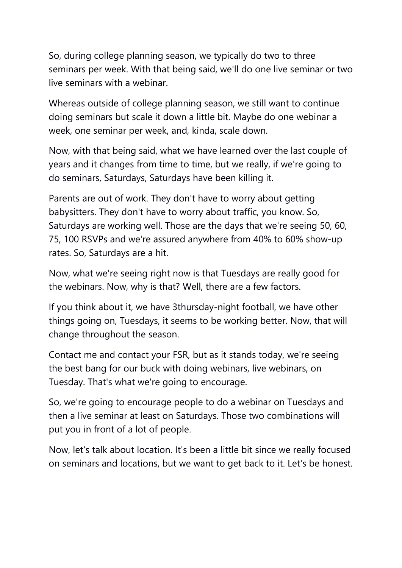So, during college planning season, we typically do two to three seminars per week. With that being said, we'll do one live seminar or two live seminars with a webinar.

Whereas outside of college planning season, we still want to continue doing seminars but scale it down a little bit. Maybe do one webinar a week, one seminar per week, and, kinda, scale down.

Now, with that being said, what we have learned over the last couple of years and it changes from time to time, but we really, if we're going to do seminars, Saturdays, Saturdays have been killing it.

Parents are out of work. They don't have to worry about getting babysitters. They don't have to worry about traffic, you know. So, Saturdays are working well. Those are the days that we're seeing 50, 60, 75, 100 RSVPs and we're assured anywhere from 40% to 60% show-up rates. So, Saturdays are a hit.

Now, what we're seeing right now is that Tuesdays are really good for the webinars. Now, why is that? Well, there are a few factors.

If you think about it, we have 3thursday-night football, we have other things going on, Tuesdays, it seems to be working better. Now, that will change throughout the season.

Contact me and contact your FSR, but as it stands today, we're seeing the best bang for our buck with doing webinars, live webinars, on Tuesday. That's what we're going to encourage.

So, we're going to encourage people to do a webinar on Tuesdays and then a live seminar at least on Saturdays. Those two combinations will put you in front of a lot of people.

Now, let's talk about location. It's been a little bit since we really focused on seminars and locations, but we want to get back to it. Let's be honest.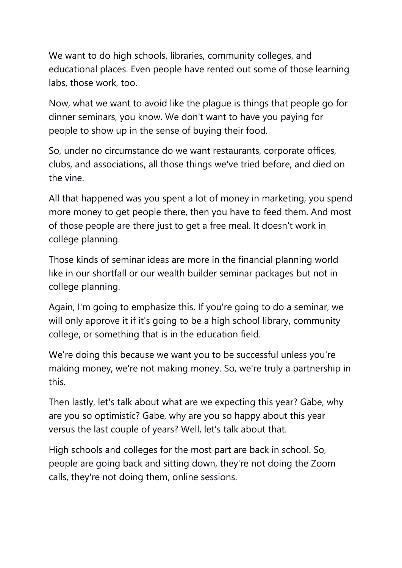We want to do high schools, libraries, community colleges, and educational places. Even people have rented out some of those learning labs, those work, too.

Now, what we want to avoid like the plague is things that people go for dinner seminars, you know. We don't want to have you paying for people to show up in the sense of buying their food.

So, under no circumstance do we want restaurants, corporate offices, clubs, and associations, all those things we've tried before, and died on the vine.

All that happened was you spent a lot of money in marketing, you spend more money to get people there, then you have to feed them. And most of those people are there just to get a free meal. It doesn't work in college planning.

Those kinds of seminar ideas are more in the financial planning world like in our shortfall or our wealth builder seminar packages but not in college planning.

Again, I'm going to emphasize this. If you're going to do a seminar, we will only approve it if it's going to be a high school library, community college, or something that is in the education field.

We're doing this because we want you to be successful unless you're making money, we're not making money. So, we're truly a partnership in this.

Then lastly, let's talk about what are we expecting this year? Gabe, why are you so optimistic? Gabe, why are you so happy about this year versus the last couple of years? Well, let's talk about that.

High schools and colleges for the most part are back in school. So, people are going back and sitting down, they're not doing the Zoom calls, they're not doing them, online sessions.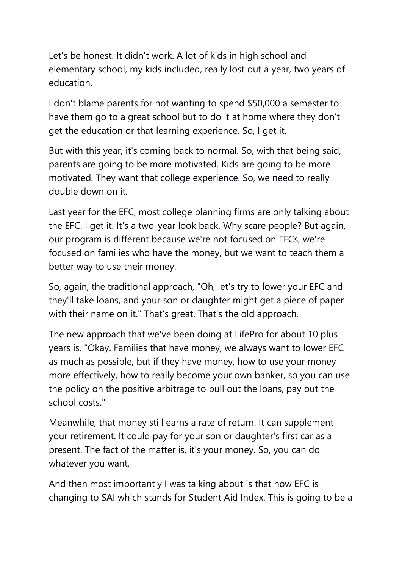Let's be honest. It didn't work. A lot of kids in high school and elementary school, my kids included, really lost out a year, two years of education.

I don't blame parents for not wanting to spend \$50,000 a semester to have them go to a great school but to do it at home where they don't get the education or that learning experience. So, I get it.

But with this year, it's coming back to normal. So, with that being said, parents are going to be more motivated. Kids are going to be more motivated. They want that college experience. So, we need to really double down on it.

Last year for the EFC, most college planning firms are only talking about the EFC. I get it. It's a two-year look back. Why scare people? But again, our program is different because we're not focused on EFCs, we're focused on families who have the money, but we want to teach them a better way to use their money.

So, again, the traditional approach, "Oh, let's try to lower your EFC and they'll take loans, and your son or daughter might get a piece of paper with their name on it." That's great. That's the old approach.

The new approach that we've been doing at LifePro for about 10 plus years is, "Okay. Families that have money, we always want to lower EFC as much as possible, but if they have money, how to use your money more effectively, how to really become your own banker, so you can use the policy on the positive arbitrage to pull out the loans, pay out the school costs."

Meanwhile, that money still earns a rate of return. It can supplement your retirement. It could pay for your son or daughter's first car as a present. The fact of the matter is, it's your money. So, you can do whatever you want.

And then most importantly I was talking about is that how EFC is changing to SAI which stands for Student Aid Index. This is going to be a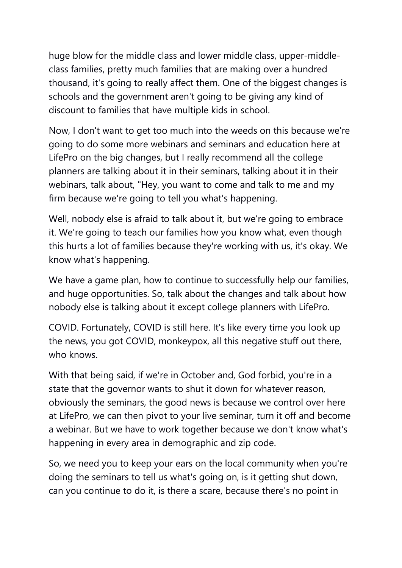huge blow for the middle class and lower middle class, upper-middleclass families, pretty much families that are making over a hundred thousand, it's going to really affect them. One of the biggest changes is schools and the government aren't going to be giving any kind of discount to families that have multiple kids in school.

Now, I don't want to get too much into the weeds on this because we're going to do some more webinars and seminars and education here at LifePro on the big changes, but I really recommend all the college planners are talking about it in their seminars, talking about it in their webinars, talk about, "Hey, you want to come and talk to me and my firm because we're going to tell you what's happening.

Well, nobody else is afraid to talk about it, but we're going to embrace it. We're going to teach our families how you know what, even though this hurts a lot of families because they're working with us, it's okay. We know what's happening.

We have a game plan, how to continue to successfully help our families, and huge opportunities. So, talk about the changes and talk about how nobody else is talking about it except college planners with LifePro.

COVID. Fortunately, COVID is still here. It's like every time you look up the news, you got COVID, monkeypox, all this negative stuff out there, who knows.

With that being said, if we're in October and, God forbid, you're in a state that the governor wants to shut it down for whatever reason, obviously the seminars, the good news is because we control over here at LifePro, we can then pivot to your live seminar, turn it off and become a webinar. But we have to work together because we don't know what's happening in every area in demographic and zip code.

So, we need you to keep your ears on the local community when you're doing the seminars to tell us what's going on, is it getting shut down, can you continue to do it, is there a scare, because there's no point in